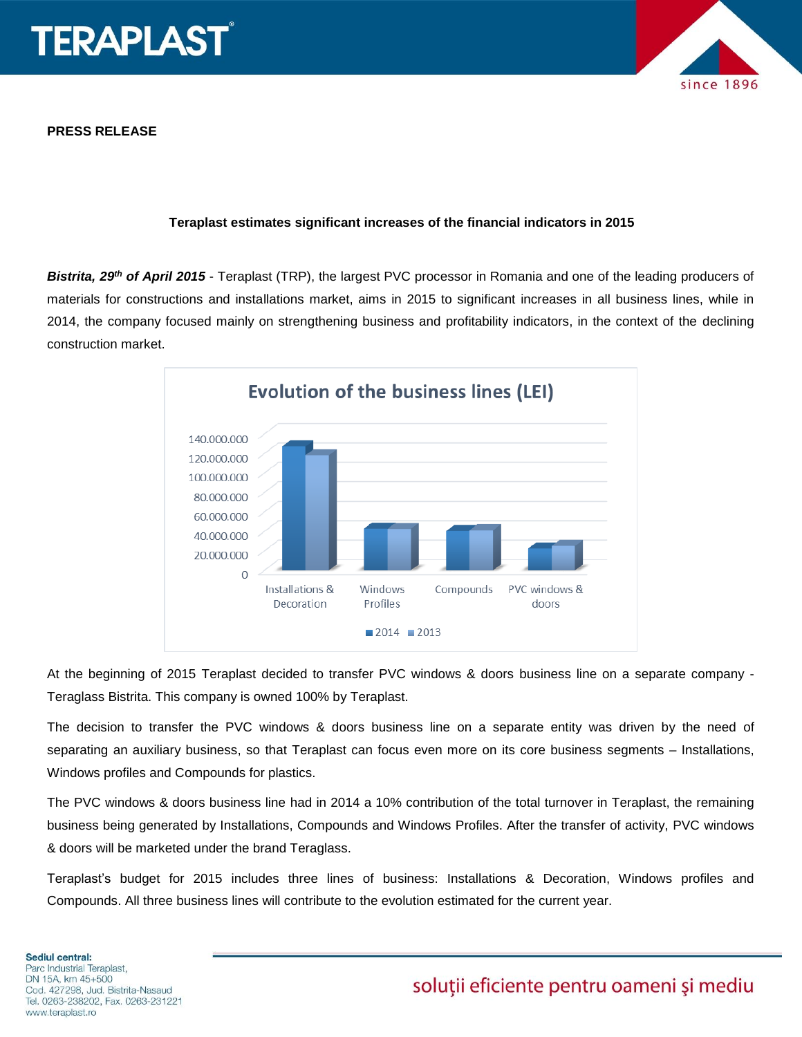

**PRESS RELEASE**

# since 1896

### **Teraplast estimates significant increases of the financial indicators in 2015**

*Bistrita, 29th of April 2015* - Teraplast (TRP), the largest PVC processor in Romania and one of the leading producers of materials for constructions and installations market, aims in 2015 to significant increases in all business lines, while in 2014, the company focused mainly on strengthening business and profitability indicators, in the context of the declining construction market.



At the beginning of 2015 Teraplast decided to transfer PVC windows & doors business line on a separate company - Teraglass Bistrita. This company is owned 100% by Teraplast.

The decision to transfer the PVC windows & doors business line on a separate entity was driven by the need of separating an auxiliary business, so that Teraplast can focus even more on its core business segments – Installations, Windows profiles and Compounds for plastics.

The PVC windows & doors business line had in 2014 a 10% contribution of the total turnover in Teraplast, the remaining business being generated by Installations, Compounds and Windows Profiles. After the transfer of activity, PVC windows & doors will be marketed under the brand Teraglass.

Teraplast's budget for 2015 includes three lines of business: Installations & Decoration, Windows profiles and Compounds. All three business lines will contribute to the evolution estimated for the current year.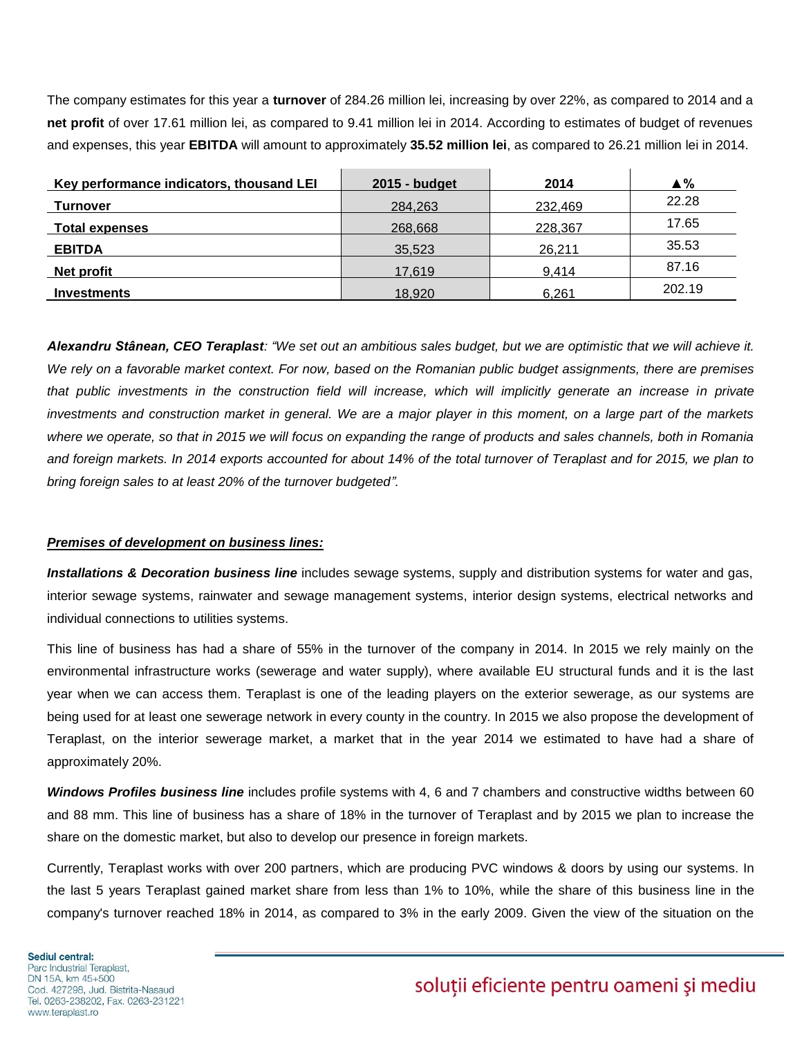The company estimates for this year a **turnover** of 284.26 million lei, increasing by over 22%, as compared to 2014 and a **net profit** of over 17.61 million lei, as compared to 9.41 million lei in 2014. According to estimates of budget of revenues and expenses, this year **EBITDA** will amount to approximately **35.52 million lei**, as compared to 26.21 million lei in 2014.

| Key performance indicators, thousand LEI | 2015 - budget | 2014    | $\triangle$ % |
|------------------------------------------|---------------|---------|---------------|
| Turnover                                 | 284,263       | 232,469 | 22.28         |
| <b>Total expenses</b>                    | 268,668       | 228,367 | 17.65         |
| <b>EBITDA</b>                            | 35,523        | 26.211  | 35.53         |
| Net profit                               | 17,619        | 9.414   | 87.16         |
| <b>Investments</b>                       | 18,920        | 6,261   | 202.19        |

*Alexandru Stânean, CEO Teraplast: "We set out an ambitious sales budget, but we are optimistic that we will achieve it. We rely on a favorable market context. For now, based on the Romanian public budget assignments, there are premises*  that public investments in the construction field will increase, which will implicitly generate an increase in private *investments and construction market in general. We are a major player in this moment, on a large part of the markets where we operate, so that in 2015 we will focus on expanding the range of products and sales channels, both in Romania and foreign markets. In 2014 exports accounted for about 14% of the total turnover of Teraplast and for 2015, we plan to bring foreign sales to at least 20% of the turnover budgeted".* 

## *Premises of development on business lines:*

*Installations & Decoration business line* includes sewage systems, supply and distribution systems for water and gas, interior sewage systems, rainwater and sewage management systems, interior design systems, electrical networks and individual connections to utilities systems.

This line of business has had a share of 55% in the turnover of the company in 2014. In 2015 we rely mainly on the environmental infrastructure works (sewerage and water supply), where available EU structural funds and it is the last year when we can access them. Teraplast is one of the leading players on the exterior sewerage, as our systems are being used for at least one sewerage network in every county in the country. In 2015 we also propose the development of Teraplast, on the interior sewerage market, a market that in the year 2014 we estimated to have had a share of approximately 20%.

*Windows Profiles business line* includes profile systems with 4, 6 and 7 chambers and constructive widths between 60 and 88 mm. This line of business has a share of 18% in the turnover of Teraplast and by 2015 we plan to increase the share on the domestic market, but also to develop our presence in foreign markets.

Currently, Teraplast works with over 200 partners, which are producing PVC windows & doors by using our systems. In the last 5 years Teraplast gained market share from less than 1% to 10%, while the share of this business line in the company's turnover reached 18% in 2014, as compared to 3% in the early 2009. Given the view of the situation on the